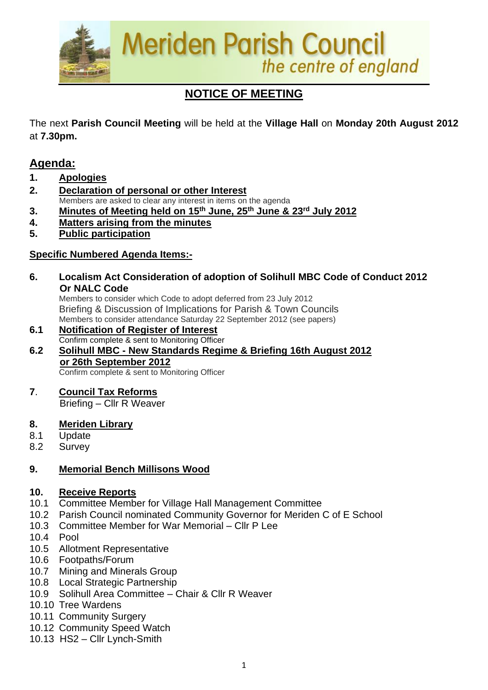

# **NOTICE OF MEETING**

The next **Parish Council Meeting** will be held at the **Village Hall** on **Monday 20th August 2012**  at **7.30pm.**

# **Agenda:**

- **1. Apologies**
- **2. Declaration of personal or other Interest** Members are asked to clear any interest in items on the agenda

**3. Minutes of Meeting held on 15th June, 25th June & 23rd July 2012**

- **4. Matters arising from the minutes**
- **5. Public participation**

# **Specific Numbered Agenda Items:-**

**6. Localism Act Consideration of adoption of Solihull MBC Code of Conduct 2012 Or NALC Code** 

 Members to consider which Code to adopt deferred from 23 July 2012 Briefing & Discussion of Implications for Parish & Town Councils Members to consider attendance Saturday 22 September 2012 (see papers)

- **6.1 Notification of Register of Interest** Confirm complete & sent to Monitoring Officer
- **6.2 Solihull MBC - New Standards Regime & Briefing 16th August 2012 or 26th September 2012** Confirm complete & sent to Monitoring Officer
	-

**7**. **Council Tax Reforms**

Briefing – Cllr R Weaver

- **8. Meriden Library**
- 8.1 Update
- 8.2 Survey

# **9. Memorial Bench Millisons Wood**

# **10. Receive Reports**

- 10.1 Committee Member for Village Hall Management Committee
- 10.2 Parish Council nominated Community Governor for Meriden C of E School
- 10.3 Committee Member for War Memorial Cllr P Lee
- 10.4 Pool
- 10.5 Allotment Representative
- 10.6 Footpaths/Forum
- 10.7 Mining and Minerals Group
- 10.8 Local Strategic Partnership
- 10.9 Solihull Area Committee Chair & Cllr R Weaver
- 10.10 Tree Wardens
- 10.11 Community Surgery
- 10.12 Community Speed Watch
- 10.13 HS2 Cllr Lynch-Smith